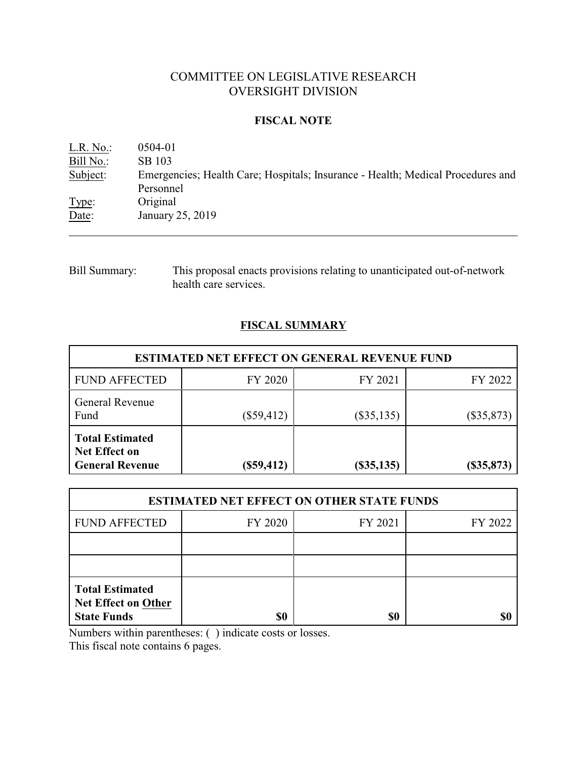# COMMITTEE ON LEGISLATIVE RESEARCH OVERSIGHT DIVISION

### **FISCAL NOTE**

L.R. No.: 0504-01 Bill No.: SB 103<br>Subject: Emerger Emergencies; Health Care; Hospitals; Insurance - Health; Medical Procedures and Personnel Type: Original Date: January 25, 2019

Bill Summary: This proposal enacts provisions relating to unanticipated out-of-network health care services.

## **FISCAL SUMMARY**

| <b>ESTIMATED NET EFFECT ON GENERAL REVENUE FUND</b>               |              |                  |              |  |
|-------------------------------------------------------------------|--------------|------------------|--------------|--|
| <b>FUND AFFECTED</b>                                              | FY 2020      | FY 2021          | FY 2022      |  |
| General Revenue<br>Fund                                           | $(\$59,412)$ | $(\$35,135)$     | $(\$35,873)$ |  |
| <b>Total Estimated</b><br>Net Effect on<br><b>General Revenue</b> | $(\$59,412)$ | $($ \$35,135 $)$ | $(\$35,873)$ |  |

| <b>ESTIMATED NET EFFECT ON OTHER STATE FUNDS</b>                           |         |         |         |  |
|----------------------------------------------------------------------------|---------|---------|---------|--|
| <b>FUND AFFECTED</b>                                                       | FY 2020 | FY 2021 | FY 2022 |  |
|                                                                            |         |         |         |  |
|                                                                            |         |         |         |  |
| <b>Total Estimated</b><br><b>Net Effect on Other</b><br><b>State Funds</b> | \$0     | \$0     |         |  |

Numbers within parentheses: ( ) indicate costs or losses.

This fiscal note contains 6 pages.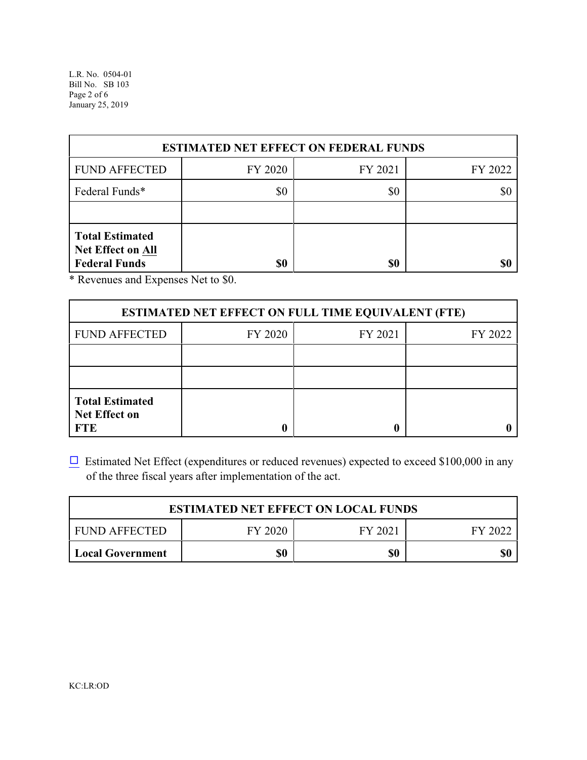L.R. No. 0504-01 Bill No. SB 103 Page 2 of 6 January 25, 2019

| <b>ESTIMATED NET EFFECT ON FEDERAL FUNDS</b>                               |         |         |         |  |
|----------------------------------------------------------------------------|---------|---------|---------|--|
| <b>FUND AFFECTED</b>                                                       | FY 2020 | FY 2021 | FY 2022 |  |
| Federal Funds*                                                             | \$0     | \$0     |         |  |
|                                                                            |         |         |         |  |
| <b>Total Estimated</b><br><b>Net Effect on All</b><br><b>Federal Funds</b> | \$0     | \$0     | \$0     |  |

\* Revenues and Expenses Net to \$0.

| <b>ESTIMATED NET EFFECT ON FULL TIME EQUIVALENT (FTE)</b>    |         |         |         |  |
|--------------------------------------------------------------|---------|---------|---------|--|
| <b>FUND AFFECTED</b>                                         | FY 2020 | FY 2021 | FY 2022 |  |
|                                                              |         |         |         |  |
|                                                              |         |         |         |  |
| <b>Total Estimated</b><br><b>Net Effect on</b><br><b>FTE</b> |         |         |         |  |

 $\Box$  Estimated Net Effect (expenditures or reduced revenues) expected to exceed \$100,000 in any of the three fiscal years after implementation of the act.

| <b>ESTIMATED NET EFFECT ON LOCAL FUNDS</b> |         |         |         |  |
|--------------------------------------------|---------|---------|---------|--|
| <b>FUND AFFECTED</b>                       | FY 2020 | FY 2021 | FY 2022 |  |
| Local Government                           | \$0     | \$0     | \$0     |  |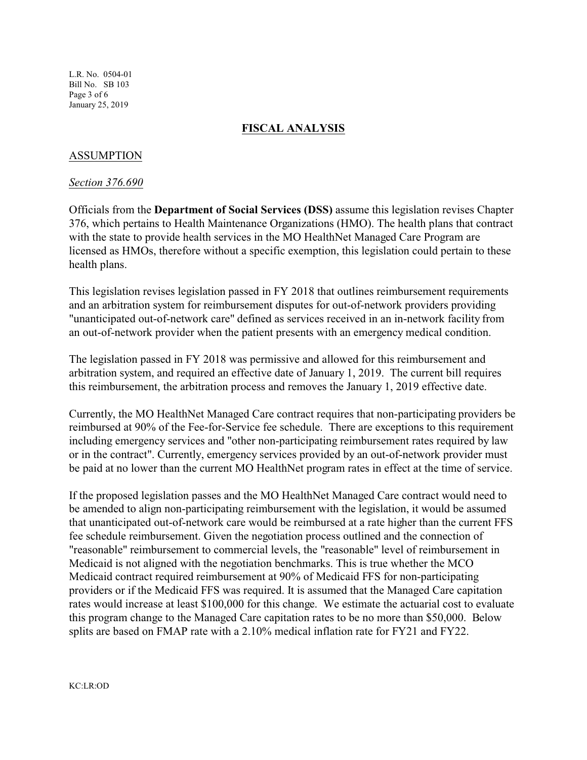L.R. No. 0504-01 Bill No. SB 103 Page 3 of 6 January 25, 2019

### **FISCAL ANALYSIS**

### ASSUMPTION

#### *Section 376.690*

Officials from the **Department of Social Services (DSS)** assume this legislation revises Chapter 376, which pertains to Health Maintenance Organizations (HMO). The health plans that contract with the state to provide health services in the MO HealthNet Managed Care Program are licensed as HMOs, therefore without a specific exemption, this legislation could pertain to these health plans.

This legislation revises legislation passed in FY 2018 that outlines reimbursement requirements and an arbitration system for reimbursement disputes for out-of-network providers providing "unanticipated out-of-network care" defined as services received in an in-network facility from an out-of-network provider when the patient presents with an emergency medical condition.

The legislation passed in FY 2018 was permissive and allowed for this reimbursement and arbitration system, and required an effective date of January 1, 2019. The current bill requires this reimbursement, the arbitration process and removes the January 1, 2019 effective date.

Currently, the MO HealthNet Managed Care contract requires that non-participating providers be reimbursed at 90% of the Fee-for-Service fee schedule. There are exceptions to this requirement including emergency services and "other non-participating reimbursement rates required by law or in the contract". Currently, emergency services provided by an out-of-network provider must be paid at no lower than the current MO HealthNet program rates in effect at the time of service.

If the proposed legislation passes and the MO HealthNet Managed Care contract would need to be amended to align non-participating reimbursement with the legislation, it would be assumed that unanticipated out-of-network care would be reimbursed at a rate higher than the current FFS fee schedule reimbursement. Given the negotiation process outlined and the connection of "reasonable" reimbursement to commercial levels, the "reasonable" level of reimbursement in Medicaid is not aligned with the negotiation benchmarks. This is true whether the MCO Medicaid contract required reimbursement at 90% of Medicaid FFS for non-participating providers or if the Medicaid FFS was required. It is assumed that the Managed Care capitation rates would increase at least \$100,000 for this change. We estimate the actuarial cost to evaluate this program change to the Managed Care capitation rates to be no more than \$50,000. Below splits are based on FMAP rate with a 2.10% medical inflation rate for FY21 and FY22.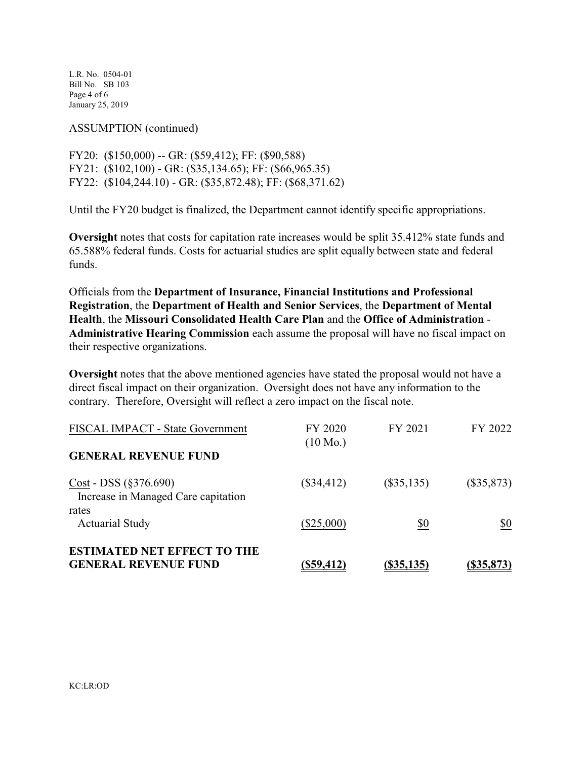L.R. No. 0504-01 Bill No. SB 103 Page 4 of 6 January 25, 2019

ASSUMPTION (continued)

FY20: (\$150,000) -- GR: (\$59,412); FF: (\$90,588) FY21: (\$102,100) - GR: (\$35,134.65); FF: (\$66,965.35) FY22: (\$104,244.10) - GR: (\$35,872.48); FF: (\$68,371.62)

Until the FY20 budget is finalized, the Department cannot identify specific appropriations.

**Oversight** notes that costs for capitation rate increases would be split 35.412% state funds and 65.588% federal funds. Costs for actuarial studies are split equally between state and federal funds.

Officials from the **Department of Insurance, Financial Institutions and Professional Registration**, the **Department of Health and Senior Services**, the **Department of Mental Health**, the **Missouri Consolidated Health Care Plan** and the **Office of Administration** - **Administrative Hearing Commission** each assume the proposal will have no fiscal impact on their respective organizations.

**Oversight** notes that the above mentioned agencies have stated the proposal would not have a direct fiscal impact on their organization. Oversight does not have any information to the contrary. Therefore, Oversight will reflect a zero impact on the fiscal note.

| <b>ESTIMATED NET EFFECT TO THE</b><br><b>GENERAL REVENUE FUND</b>      | $($ \$59,412)                 | (S35, 135)   | (S35, 873)   |
|------------------------------------------------------------------------|-------------------------------|--------------|--------------|
| rates<br><b>Actuarial Study</b>                                        | $(\$25,000)$                  | \$0          | \$0          |
| $Cost - DSS (§ 376.690)$<br>Increase in Managed Care capitation        | $(\$34,412)$                  | $(\$35,135)$ | $(\$35,873)$ |
| <b>FISCAL IMPACT - State Government</b><br><b>GENERAL REVENUE FUND</b> | FY 2020<br>$(10 \text{ Mo.})$ | FY 2021      | FY 2022      |
|                                                                        |                               |              |              |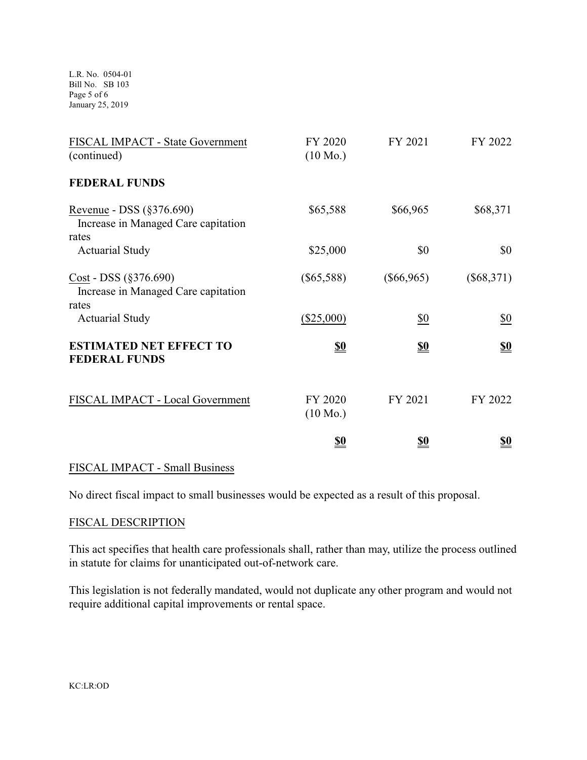L.R. No. 0504-01 Bill No. SB 103 Page 5 of 6 January 25, 2019

| FISCAL IMPACT - State Government<br>(continued)                          | FY 2020<br>$(10 \text{ Mo.})$ | FY 2021      | FY 2022                       |
|--------------------------------------------------------------------------|-------------------------------|--------------|-------------------------------|
| <b>FEDERAL FUNDS</b>                                                     |                               |              |                               |
| Revenue - DSS (§376.690)<br>Increase in Managed Care capitation<br>rates | \$65,588                      | \$66,965     | \$68,371                      |
| <b>Actuarial Study</b>                                                   | \$25,000                      | \$0          | \$0                           |
| Cost - DSS (§376.690)<br>Increase in Managed Care capitation<br>rates    | $(\$65,588)$                  | $(\$66,965)$ | $(\$68,371)$                  |
| <b>Actuarial Study</b>                                                   | $(\$25,000)$                  | \$0          | $\underline{\$0}$             |
| <b>ESTIMATED NET EFFECT TO</b><br><b>FEDERAL FUNDS</b>                   | <u>\$0</u>                    | <u>\$0</u>   | $\underline{\underline{\$0}}$ |
| FISCAL IMPACT - Local Government                                         | FY 2020<br>$(10 \text{ Mo.})$ | FY 2021      | FY 2022                       |
|                                                                          | <u>\$0</u>                    | <u>so</u>    | <u>\$0</u>                    |

## FISCAL IMPACT - Small Business

No direct fiscal impact to small businesses would be expected as a result of this proposal.

#### FISCAL DESCRIPTION

This act specifies that health care professionals shall, rather than may, utilize the process outlined in statute for claims for unanticipated out-of-network care.

This legislation is not federally mandated, would not duplicate any other program and would not require additional capital improvements or rental space.